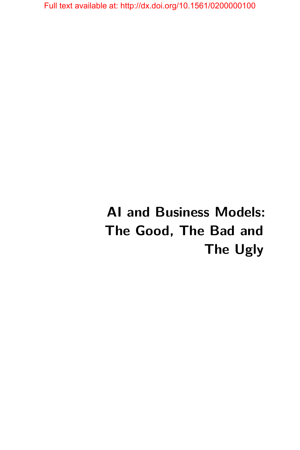# **AI and Business Models: The Good, The Bad and The Ugly**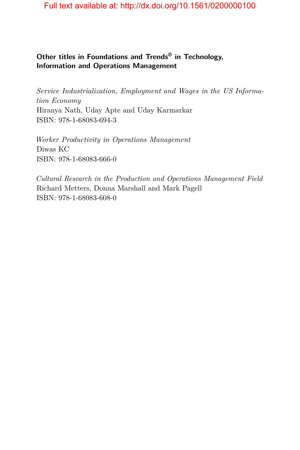#### **Other titles in Foundations and Trends® in Technology, Information and Operations Management**

*Service Industrialization, Employment and Wages in the US Information Economy* Hiranya Nath, Uday Apte and Uday Karmarkar ISBN: 978-1-68083-694-3

*Worker Productivity in Operations Management* Diwas KC ISBN: 978-1-68083-666-0

*Cultural Research in the Production and Operations Management Field* Richard Metters, Donna Marshall and Mark Pagell ISBN: 978-1-68083-608-0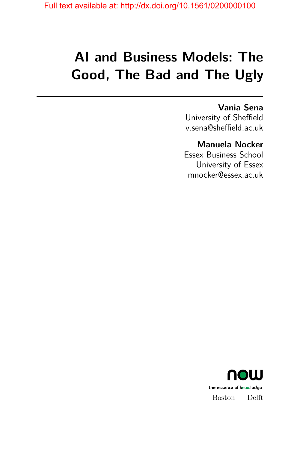# **AI and Business Models: The Good, The Bad and The Ugly**

### **Vania Sena**

University of Sheffield v.sena@sheffield.ac.uk

### **Manuela Nocker**

Essex Business School University of Essex mnocker@essex.ac.uk

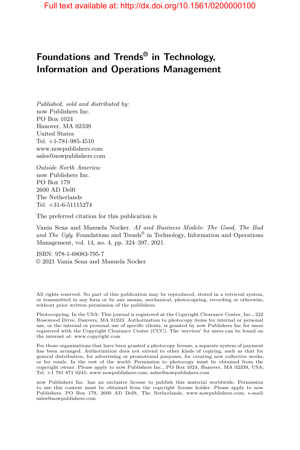# **Foundations and Trends® in Technology, Information and Operations Management**

*Published, sold and distributed by:* now Publishers Inc. PO Box 1024 Hanover, MA 02339 United States Tel. +1-781-985-4510 www.nowpublishers.com sales@nowpublishers.com

*Outside North America:* now Publishers Inc. PO Box 179 2600 AD Delft The Netherlands Tel. +31-6-51115274

The preferred citation for this publication is

Vania Sena and Manuela Nocker. *AI and Business Models: The Good, The Bad* and The Ugly. Foundations and Trends<sup>®</sup> in Technology, Information and Operations Management, vol. 14, no. 4, pp. 324–397, 2021.

ISBN: 978-1-68083-795-7 © 2021 Vania Sena and Manuela Nocker

All rights reserved. No part of this publication may be reproduced, stored in a retrieval system, or transmitted in any form or by any means, mechanical, photocopying, recording or otherwise, without prior written permission of the publishers.

Photocopying. In the USA: This journal is registered at the Copyright Clearance Center, Inc., 222 Rosewood Drive, Danvers, MA 01923. Authorization to photocopy items for internal or personal use, or the internal or personal use of specific clients, is granted by now Publishers Inc for users registered with the Copyright Clearance Center (CCC). The 'services' for users can be found on the internet at: www.copyright.com

For those organizations that have been granted a photocopy license, a separate system of payment has been arranged. Authorization does not extend to other kinds of copying, such as that for general distribution, for advertising or promotional purposes, for creating new collective works, or for resale. In the rest of the world: Permission to photocopy must be obtained from the copyright owner. Please apply to now Publishers Inc., PO Box 1024, Hanover, MA 02339, USA; Tel. +1 781 871 0245; www.nowpublishers.com; sales@nowpublishers.com

now Publishers Inc. has an exclusive license to publish this material worldwide. Permission to use this content must be obtained from the copyright license holder. Please apply to now Publishers, PO Box 179, 2600 AD Delft, The Netherlands, www.nowpublishers.com; e-mail: sales@nowpublishers.com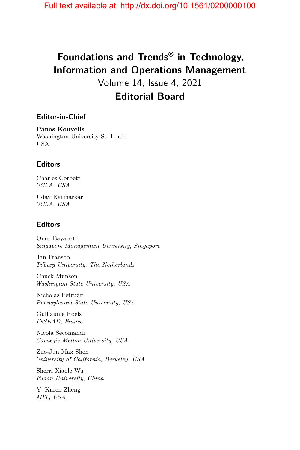# **Foundations and Trends® in Technology, Information and Operations Management**

Volume 14, Issue 4, 2021 **Editorial Board**

#### **Editor-in-Chief**

**Panos Kouvelis** Washington University St. Louis USA

#### **Editors**

Charles Corbett *UCLA, USA*

Uday Karmarkar *UCLA, USA*

#### **Editors**

Onur Bayabatli *Singapore Management University, Singapore*

Jan Fransoo *Tilburg University, The Netherlands*

Chuck Munson *Washington State University, USA*

Nicholas Petruzzi *Pennsylvania State University, USA*

Guillaume Roels *INSEAD, France*

Nicola Secomandi *Carnegie-Mellon University, USA*

Zuo-Jun Max Shen *University of California, Berkeley, USA*

Sherri Xiaole Wu *Fudan University, China*

Y. Karen Zheng *MIT, USA*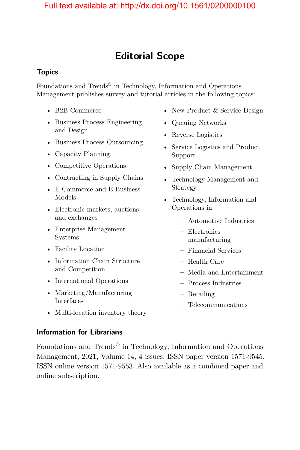# **Editorial Scope**

#### **Topics**

Foundations and Trends® in Technology, Information and Operations Management publishes survey and tutorial articles in the following topics:

- B2B Commerce
- Business Process Engineering and Design
- Business Process Outsourcing
- Capacity Planning
- Competitive Operations
- Contracting in Supply Chains
- E-Commerce and E-Business Models
- Electronic markets, auctions and exchanges
- Enterprise Management Systems
- Facility Location
- Information Chain Structure and Competition
- International Operations
- Marketing/Manufacturing Interfaces
- New Product & Service Design
- Queuing Networks
- Reverse Logistics
- Service Logistics and Product Support
- Supply Chain Management
- Technology Management and Strategy
- Technology, Information and Operations in:
	- **–** Automotive Industries
	- **–** Electronics manufacturing
	- **–** Financial Services
	- **–** Health Care
	- **–** Media and Entertainment
	- **–** Process Industries
	- **–** Retailing
	- **–** Telecommunications
- Multi-location inventory theory

#### **Information for Librarians**

Foundations and  $\operatorname{Trends}^{\circledast}$  in Technology, Information and Operations Management, 2021, Volume 14, 4 issues. ISSN paper version 1571-9545. ISSN online version 1571-9553. Also available as a combined paper and online subscription.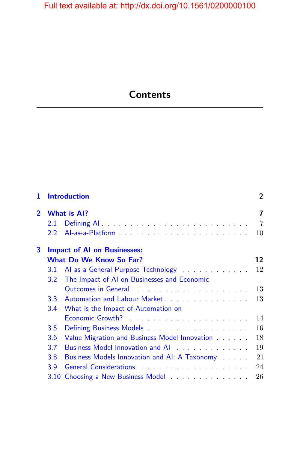# **Contents**

| 1              | <b>Introduction</b><br><b>What is Al?</b> |                                                                                                                 | $\overline{2}$<br>7 |
|----------------|-------------------------------------------|-----------------------------------------------------------------------------------------------------------------|---------------------|
| $\overline{2}$ |                                           |                                                                                                                 |                     |
|                | 2.1                                       |                                                                                                                 | $\overline{7}$      |
|                | $2.2^{\circ}$                             |                                                                                                                 | 10                  |
| 3              |                                           | <b>Impact of AI on Businesses:</b>                                                                              |                     |
|                |                                           | <b>What Do We Know So Far?</b>                                                                                  | 12                  |
|                | 3.1                                       | Al as a General Purpose Technology                                                                              | 12                  |
|                | 3.2                                       | The Impact of AI on Businesses and Economic                                                                     |                     |
|                |                                           | Outcomes in General enterprise and a series of the contract of the Counter of the Counter of the Counter of the | 13                  |
|                | 3.3 <sub>1</sub>                          |                                                                                                                 | 13                  |
|                | 3.4                                       | What is the Impact of Automation on                                                                             |                     |
|                |                                           |                                                                                                                 | 14                  |
|                | 3.5                                       | Defining Business Models <b>Container and Security</b> Defining Business Models                                 | 16                  |
|                | 3.6                                       | Value Migration and Business Model Innovation                                                                   | 18                  |
|                | 3.7                                       | Business Model Innovation and AI                                                                                | 19                  |
|                | 3.8                                       | Business Models Innovation and AI: A Taxonomy                                                                   | 21                  |
|                | 3.9                                       |                                                                                                                 | 24                  |
|                |                                           |                                                                                                                 | 26                  |
|                |                                           |                                                                                                                 |                     |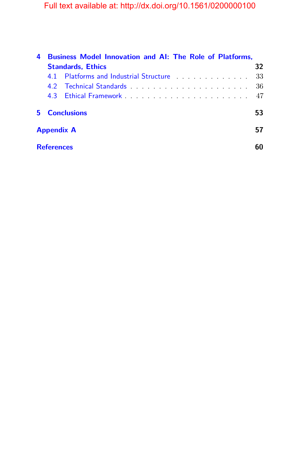| 4                 | Business Model Innovation and AI: The Role of Platforms, |                                                                                                                |    |  |
|-------------------|----------------------------------------------------------|----------------------------------------------------------------------------------------------------------------|----|--|
|                   | <b>Standards, Ethics</b>                                 |                                                                                                                | 32 |  |
|                   | 41                                                       | Platforms and Industrial Structure enter the state of the Platforms and Industrial Structure enter the state o | 33 |  |
|                   |                                                          |                                                                                                                | 36 |  |
|                   |                                                          | 4.3 Ethical Framework <b>Expansion</b> Contract to the Ethical Framework                                       | 47 |  |
| 5.                | <b>Conclusions</b>                                       |                                                                                                                | 53 |  |
| <b>Appendix A</b> |                                                          |                                                                                                                |    |  |
|                   | <b>References</b>                                        |                                                                                                                |    |  |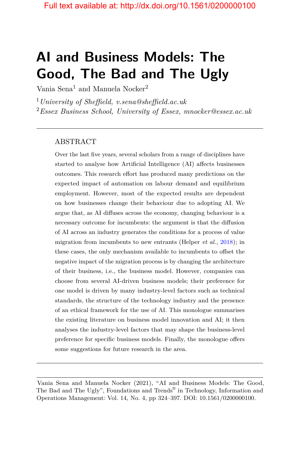# **AI and Business Models: The Good, The Bad and The Ugly**

Vania Sena<sup>1</sup> and Manuela Nocker<sup>2</sup>

<sup>1</sup>*University of Sheffield, v.sena@sheffield.ac.uk* <sup>2</sup>*Essex Business School, University of Essex, mnocker@essex.ac.uk*

#### ABSTRACT

Over the last five years, several scholars from a range of disciplines have started to analyse how Artificial Intelligence (AI) affects businesses outcomes. This research effort has produced many predictions on the expected impact of automation on labour demand and equilibrium employment. However, most of the expected results are dependent on how businesses change their behaviour due to adopting AI. We argue that, as AI diffuses across the economy, changing behaviour is a necessary outcome for incumbents: the argument is that the diffusion of AI across an industry generates the conditions for a process of value migration from incumbents to new entrants (Helper *et al.*, [2018\)](#page-21-0); in these cases, the only mechanism available to incumbents to offset the negative impact of the migration process is by changing the architecture of their business, i.e., the business model. However, companies can choose from several AI-driven business models; their preference for one model is driven by many industry-level factors such as technical standards, the structure of the technology industry and the presence of an ethical framework for the use of AI. This monologue summarises the existing literature on business model innovation and AI; it then analyses the industry-level factors that may shape the business-level preference for specific business models. Finally, the monologue offers some suggestions for future research in the area.

Vania Sena and Manuela Nocker (2021), "AI and Business Models: The Good, The Bad and The Ugly", Foundations and Trends<sup>®</sup> in Technology, Information and Operations Management: Vol. 14, No. 4, pp 324–397. DOI: 10.1561/0200000100.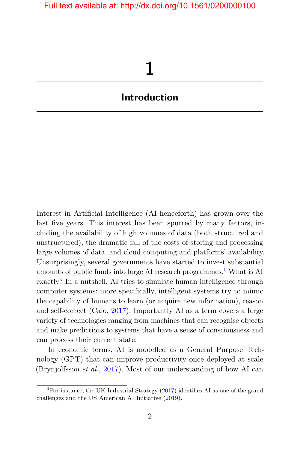# **1**

## <span id="page-9-0"></span>**Introduction**

Interest in Artificial Intelligence (AI henceforth) has grown over the last five years. This interest has been spurred by many factors, including the availability of high volumes of data (both structured and unstructured), the dramatic fall of the costs of storing and processing large volumes of data, and cloud computing and platforms' availability. Unsurprisingly, several governments have started to invest substantial amounts of public funds into large AI research programmes.<sup>[1](#page-9-1)</sup> What is AI exactly? In a nutshell, AI tries to simulate human intelligence through computer systems: more specifically, intelligent systems try to mimic the capability of humans to learn (or acquire new information), reason and self-correct (Calo, [2017\)](#page-18-0). Importantly AI as a term covers a large variety of technologies ranging from machines that can recognise objects and make predictions to systems that have a sense of consciousness and can process their current state.

In economic terms, AI is modelled as a General Purpose Technology (GPT) that can improve productivity once deployed at scale (Brynjolfsson *et al.*, [2017\)](#page-17-0). Most of our understanding of how AI can

<span id="page-9-1"></span><sup>&</sup>lt;sup>1</sup>For instance, the UK Industrial Strategy  $(2017)$  identifies AI as one of the grand challenges and the US American AI Initiative [\(2019\)](#page-15-0).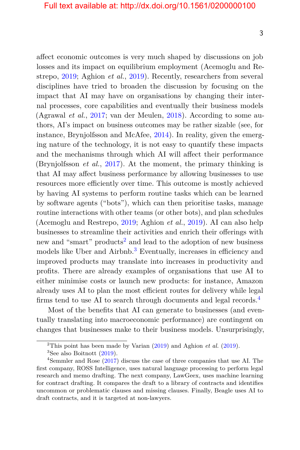affect economic outcomes is very much shaped by discussions on job losses and its impact on equilibrium employment (Acemoglu and Restrepo, [2019;](#page-14-1) Aghion *et al.*, [2019\)](#page-14-2). Recently, researchers from several disciplines have tried to broaden the discussion by focusing on the impact that AI may have on organisations by changing their internal processes, core capabilities and eventually their business models (Agrawal *et al.*, [2017;](#page-15-1) van der Meulen, [2018\)](#page-27-0). According to some authors, AI's impact on business outcomes may be rather sizable (see, for instance, Brynjolfsson and McAfee, [2014\)](#page-17-1). In reality, given the emerging nature of the technology, it is not easy to quantify these impacts and the mechanisms through which AI will affect their performance (Brynjolfsson *et al.*, [2017\)](#page-17-0). At the moment, the primary thinking is that AI may affect business performance by allowing businesses to use resources more efficiently over time. This outcome is mostly achieved by having AI systems to perform routine tasks which can be learned by software agents ("bots"), which can then prioritise tasks, manage routine interactions with other teams (or other bots), and plan schedules (Acemoglu and Restrepo, [2019;](#page-14-1) Aghion *et al.*, [2019\)](#page-14-2). AI can also help businesses to streamline their activities and enrich their offerings with new and "smart" products<sup>[2](#page-10-0)</sup> and lead to the adoption of new business models like Uber and Airbnb.<sup>[3](#page-10-1)</sup> Eventually, increases in efficiency and improved products may translate into increases in productivity and profits. There are already examples of organisations that use AI to either minimise costs or launch new products: for instance, Amazon already uses AI to plan the most efficient routes for delivery while legal firms tend to use AI to search through documents and legal records. $4$ 

Most of the benefits that AI can generate to businesses (and eventually translating into macroeconomic performance) are contingent on changes that businesses make to their business models. Unsurprisingly,

<span id="page-10-0"></span><sup>&</sup>lt;sup>2</sup>This point has been made by Varian  $(2019)$  and Aghion *et al.*  $(2019)$ .

<span id="page-10-2"></span><span id="page-10-1"></span> ${}^{3}$ See also Boitnott  $(2019)$ .

<sup>4</sup>Semmler and Rose [\(2017\)](#page-26-0) discuss the case of three companies that use AI. The first company, ROSS Intelligence, uses natural language processing to perform legal research and memo drafting. The next company, LawGeex, uses machine learning for contract drafting. It compares the draft to a library of contracts and identifies uncommon or problematic clauses and missing clauses. Finally, Beagle uses AI to draft contracts, and it is targeted at non-lawyers.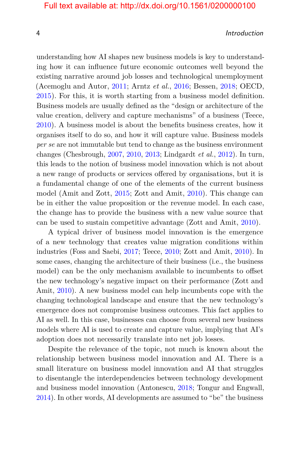4 Introduction

understanding how AI shapes new business models is key to understanding how it can influence future economic outcomes well beyond the existing narrative around job losses and technological unemployment (Acemoglu and Autor, [2011;](#page-14-3) Arntz *et al.*, [2016;](#page-15-2) Bessen, [2018;](#page-16-0) OECD, [2015\)](#page-24-0). For this, it is worth starting from a business model definition. Business models are usually defined as the "design or architecture of the value creation, delivery and capture mechanisms" of a business (Teece, [2010\)](#page-27-2). A business model is about the benefits business creates, how it organises itself to do so, and how it will capture value. Business models *per se* are not immutable but tend to change as the business environment changes (Chesbrough, [2007,](#page-18-1) [2010,](#page-18-2) [2013;](#page-18-3) Lindgardt *et al.*, [2012\)](#page-23-0). In turn, this leads to the notion of business model innovation which is not about a new range of products or services offered by organisations, but it is a fundamental change of one of the elements of the current business model (Amit and Zott, [2015;](#page-15-3) Zott and Amit, [2010\)](#page-28-0). This change can be in either the value proposition or the revenue model. In each case, the change has to provide the business with a new value source that can be used to sustain competitive advantage (Zott and Amit, [2010\)](#page-28-0).

A typical driver of business model innovation is the emergence of a new technology that creates value migration conditions within industries (Foss and Saebi, [2017;](#page-20-0) Teece, [2010;](#page-27-2) Zott and Amit, [2010\)](#page-28-0). In some cases, changing the architecture of their business (i.e., the business model) can be the only mechanism available to incumbents to offset the new technology's negative impact on their performance (Zott and Amit, [2010\)](#page-28-0). A new business model can help incumbents cope with the changing technological landscape and ensure that the new technology's emergence does not compromise business outcomes. This fact applies to AI as well. In this case, businesses can choose from several new business models where AI is used to create and capture value, implying that AI's adoption does not necessarily translate into net job losses.

Despite the relevance of the topic, not much is known about the relationship between business model innovation and AI. There is a small literature on business model innovation and AI that struggles to disentangle the interdependencies between technology development and business model innovation (Antonescu, [2018;](#page-15-4) Tongur and Engwall, [2014\)](#page-27-3). In other words, AI developments are assumed to "be" the business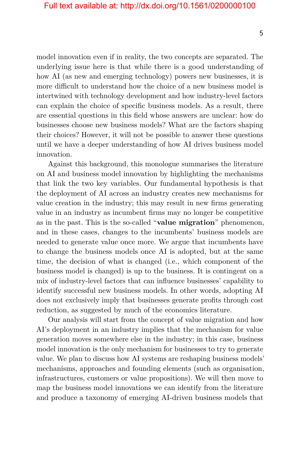model innovation even if in reality, the two concepts are separated. The underlying issue here is that while there is a good understanding of how AI (as new and emerging technology) powers new businesses, it is more difficult to understand how the choice of a new business model is intertwined with technology development and how industry-level factors can explain the choice of specific business models. As a result, there are essential questions in this field whose answers are unclear: how do businesses choose new business models? What are the factors shaping their choices? However, it will not be possible to answer these questions until we have a deeper understanding of how AI drives business model innovation.

Against this background, this monologue summarises the literature on AI and business model innovation by highlighting the mechanisms that link the two key variables. Our fundamental hypothesis is that the deployment of AI across an industry creates new mechanisms for value creation in the industry; this may result in new firms generating value in an industry as incumbent firms may no longer be competitive as in the past. This is the so-called "**value migration**" phenomenon, and in these cases, changes to the incumbents' business models are needed to generate value once more. We argue that incumbents have to change the business models once AI is adopted, but at the same time, the decision of what is changed (i.e., which component of the business model is changed) is up to the business. It is contingent on a mix of industry-level factors that can influence businesses' capability to identify successful new business models. In other words, adopting AI does not exclusively imply that businesses generate profits through cost reduction, as suggested by much of the economics literature.

Our analysis will start from the concept of value migration and how AI's deployment in an industry implies that the mechanism for value generation moves somewhere else in the industry; in this case, business model innovation is the only mechanism for businesses to try to generate value. We plan to discuss how AI systems are reshaping business models' mechanisms, approaches and founding elements (such as organisation, infrastructures, customers or value propositions). We will then move to map the business model innovations we can identify from the literature and produce a taxonomy of emerging AI-driven business models that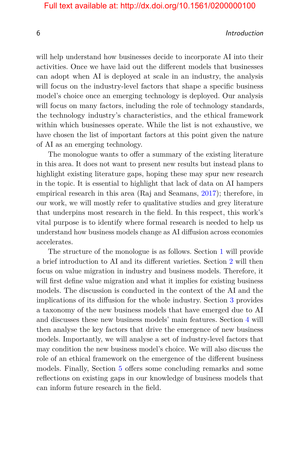#### 6 Introduction

will help understand how businesses decide to incorporate AI into their activities. Once we have laid out the different models that businesses can adopt when AI is deployed at scale in an industry, the analysis will focus on the industry-level factors that shape a specific business model's choice once an emerging technology is deployed. Our analysis will focus on many factors, including the role of technology standards, the technology industry's characteristics, and the ethical framework within which businesses operate. While the list is not exhaustive, we have chosen the list of important factors at this point given the nature of AI as an emerging technology.

The monologue wants to offer a summary of the existing literature in this area. It does not want to present new results but instead plans to highlight existing literature gaps, hoping these may spur new research in the topic. It is essential to highlight that lack of data on AI hampers empirical research in this area (Raj and Seamans, [2017\)](#page-25-0); therefore, in our work, we will mostly refer to qualitative studies and grey literature that underpins most research in the field. In this respect, this work's vital purpose is to identify where formal research is needed to help us understand how business models change as AI diffusion across economies accelerates.

The structure of the monologue is as follows. Section [1](#page-9-0) will provide a brief introduction to AI and its different varieties. Section [2](#page--1-0) will then focus on value migration in industry and business models. Therefore, it will first define value migration and what it implies for existing business models. The discussion is conducted in the context of the AI and the implications of its diffusion for the whole industry. Section [3](#page--1-0) provides a taxonomy of the new business models that have emerged due to AI and discusses these new business models' main features. Section [4](#page--1-0) will then analyse the key factors that drive the emergence of new business models. Importantly, we will analyse a set of industry-level factors that may condition the new business model's choice. We will also discuss the role of an ethical framework on the emergence of the different business models. Finally, Section [5](#page--1-0) offers some concluding remarks and some reflections on existing gaps in our knowledge of business models that can inform future research in the field.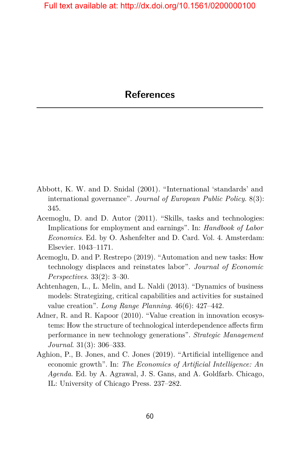- <span id="page-14-0"></span>Abbott, K. W. and D. Snidal (2001). "International 'standards' and international governance". *Journal of European Public Policy*. 8(3): 345.
- <span id="page-14-3"></span>Acemoglu, D. and D. Autor (2011). "Skills, tasks and technologies: Implications for employment and earnings". In: *Handbook of Labor Economics*. Ed. by O. Ashenfelter and D. Card. Vol. 4. Amsterdam: Elsevier. 1043–1171.
- <span id="page-14-1"></span>Acemoglu, D. and P. Restrepo (2019). "Automation and new tasks: How technology displaces and reinstates labor". *Journal of Economic Perspectives*. 33(2): 3–30.
- Achtenhagen, L., L. Melin, and L. Naldi (2013). "Dynamics of business models: Strategizing, critical capabilities and activities for sustained value creation". *Long Range Planning*. 46(6): 427–442.
- Adner, R. and R. Kapoor (2010). "Value creation in innovation ecosystems: How the structure of technological interdependence affects firm performance in new technology generations". *Strategic Management Journal*. 31(3): 306–333.
- <span id="page-14-2"></span>Aghion, P., B. Jones, and C. Jones (2019). "Artificial intelligence and economic growth". In: *The Economics of Artificial Intelligence: An Agenda*. Ed. by A. Agrawal, J. S. Gans, and A. Goldfarb. Chicago, IL: University of Chicago Press. 237–282.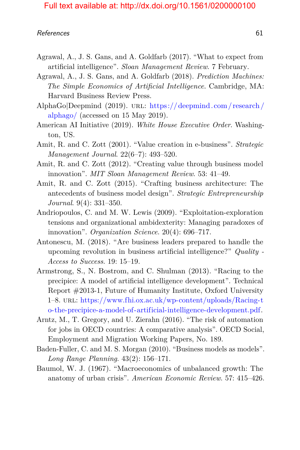- <span id="page-15-1"></span>Agrawal, A., J. S. Gans, and A. Goldfarb (2017). "What to expect from artificial intelligence". *Sloan Management Review*. 7 February.
- Agrawal, A., J. S. Gans, and A. Goldfarb (2018). *Prediction Machines: The Simple Economics of Artificial Intelligence*. Cambridge, MA: Harvard Business Review Press.
- AlphaGo|Deepmind (2019). URL: https://deepmind.com/research/ [alphago/](https://deepmind.com/research/alphago/) (accessed on 15 May 2019).
- <span id="page-15-0"></span>American AI Initiative (2019). *White House Executive Order*. Washington, US.
- Amit, R. and C. Zott (2001). "Value creation in e-business". *Strategic Management Journal*. 22(6–7): 493–520.
- Amit, R. and C. Zott (2012). "Creating value through business model innovation". *MIT Sloan Management Review*. 53: 41–49.
- <span id="page-15-3"></span>Amit, R. and C. Zott (2015). "Crafting business architecture: The antecedents of business model design". *Strategic Entrepreneurship Journal*. 9(4): 331–350.
- Andriopoulos, C. and M. W. Lewis (2009). "Exploitation-exploration tensions and organizational ambidexterity: Managing paradoxes of innovation". *Organization Science*. 20(4): 696–717.
- <span id="page-15-4"></span>Antonescu, M. (2018). "Are business leaders prepared to handle the upcoming revolution in business artificial intelligence?" *Quality - Access to Success*. 19: 15–19.
- Armstrong, S., N. Bostrom, and C. Shulman (2013). "Racing to the precipice: A model of artificial intelligence development". Technical Report #2013-1, Future of Humanity Institute, Oxford University 1–8. url: [https://www.fhi.ox.ac.uk/wp-content/uploads/Racing-t](https://www.fhi.ox.ac.uk/wp-content/uploads/Racing-to-the-precipice-a-model-of-artificial-intelligence-development.pdf) [o-the-precipice-a-model-of-artificial-intelligence-development.pdf.](https://www.fhi.ox.ac.uk/wp-content/uploads/Racing-to-the-precipice-a-model-of-artificial-intelligence-development.pdf)
- <span id="page-15-2"></span>Arntz, M., T. Gregory, and U. Zierahn (2016). "The risk of automation for jobs in OECD countries: A comparative analysis". OECD Social, Employment and Migration Working Papers, No. 189.
- Baden-Fuller, C. and M. S. Morgan (2010). "Business models as models". *Long Range Planning*. 43(2): 156–171.
- Baumol, W. J. (1967). "Macroeconomics of unbalanced growth: The anatomy of urban crisis". *American Economic Review*. 57: 415–426.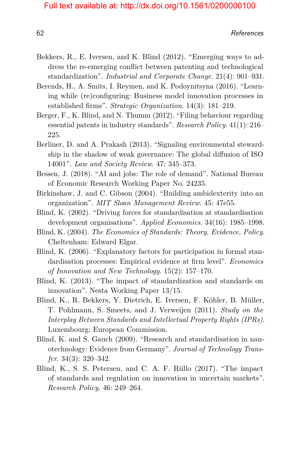- Bekkers, R., E. Iversen, and K. Blind (2012). "Emerging ways to address the re-emerging conflict between patenting and technological standardization". *Industrial and Corporate Change*. 21(4): 901–931.
- Berends, H., A. Smits, I. Reymen, and K. Podoynitsyna (2016). "Learning while (re)configuring: Business model innovation processes in established firms". *Strategic Organization*. 14(3): 181–219.
- Berger, F., K. Blind, and N. Thumm (2012). "Filing behaviour regarding essential patents in industry standards". *Research Policy*. 41(1): 216– 225.
- Berliner, D. and A. Prakash (2013). "Signaling environmental stewardship in the shadow of weak governance: The global diffusion of ISO 14001". *Law and Society Review*. 47: 345–373.
- <span id="page-16-0"></span>Bessen, J. (2018). "AI and jobs: The role of demand". National Bureau of Economic Research Working Paper No. 24235.
- Birkinshaw, J. and C. Gibson (2004). "Building ambidexterity into an organization". *MIT Sloan Management Review*. 45: 47e55.
- Blind, K. (2002). "Driving forces for standardisation at standardisation development organisations". *Applied Economics*. 34(16): 1985–1998.
- Blind, K. (2004). *The Economics of Standards: Theory, Evidence, Policy*. Cheltenham: Edward Elgar.
- Blind, K. (2006). "Explanatory factors for participation in formal standardisation processes: Empirical evidence at firm level". *Economics of Innovation and New Technology*. 15(2): 157–170.
- Blind, K. (2013). "The impact of standardization and standards on innovation". Nesta Working Paper 13/15.
- Blind, K., R. Bekkers, Y. Dietrich, E. Iversen, F. Köhler, B. Müller, T. Pohlmann, S. Smeets, and J. Verweijen (2011). *Study on the Interplay Between Standards and Intellectual Property Rights (IPRs)*. Luxembourg: European Commission.
- Blind, K. and S. Gauch (2009). "Research and standardisation in nanotechnology: Evidence from Germany". *Journal of Technology Transfer*. 34(3): 320–342.
- Blind, K., S. S. Petersen, and C. A. F. Riillo (2017). "The impact of standards and regulation on innovation in uncertain markets". *Research Policy*. 46: 249–264.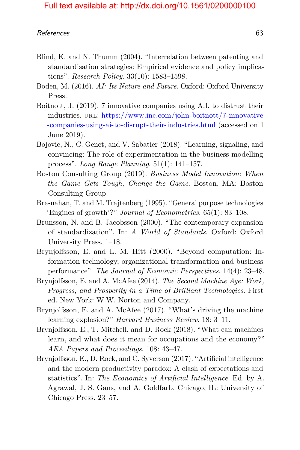- Blind, K. and N. Thumm (2004). "Interrelation between patenting and standardisation strategies: Empirical evidence and policy implications". *Research Policy*. 33(10): 1583–1598.
- Boden, M. (2016). *AI: Its Nature and Future*. Oxford: Oxford University Press.
- <span id="page-17-2"></span>Boitnott, J. (2019). 7 innovative companies using A.I. to distrust their industries. url: [https://www.inc.com/john-boitnott/7-innovative](https://www.inc.com/john-boitnott/7-innovative-companies-using-ai-to-disrupt-their-industries.html) [-companies-using-ai-to-disrupt-their-industries.html](https://www.inc.com/john-boitnott/7-innovative-companies-using-ai-to-disrupt-their-industries.html) (accessed on 1 June 2019).
- Bojovic, N., C. Genet, and V. Sabatier (2018). "Learning, signaling, and convincing: The role of experimentation in the business modelling process". *Long Range Planning*. 51(1): 141–157.
- Boston Consulting Group (2019). *Business Model Innovation: When the Game Gets Tough, Change the Game*. Boston, MA: Boston Consulting Group.
- Bresnahan, T. and M. Trajtenberg (1995). "General purpose technologies 'Engines of growth'?" *Journal of Econometrics*. 65(1): 83–108.
- Brunsson, N. and B. Jacobsson (2000). "The contemporary expansion of standardization". In: *A World of Standards*. Oxford: Oxford University Press. 1–18.
- Brynjolfsson, E. and L. M. Hitt (2000). "Beyond computation: Information technology, organizational transformation and business performance". *The Journal of Economic Perspectives*. 14(4): 23–48.
- <span id="page-17-1"></span>Brynjolfsson, E. and A. McAfee (2014). *The Second Machine Age: Work, Progress, and Prosperity in a Time of Brilliant Technologies*. First ed. New York: W.W. Norton and Company.
- Brynjolfsson, E. and A. McAfee (2017). "What's driving the machine learning explosion?" *Harvard Business Review*. 18: 3–11.
- Brynjolfsson, E., T. Mitchell, and D. Rock (2018). "What can machines learn, and what does it mean for occupations and the economy?" *AEA Papers and Proceedings*. 108: 43–47.
- <span id="page-17-0"></span>Brynjolfsson, E., D. Rock, and C. Syverson (2017). "Artificial intelligence and the modern productivity paradox: A clash of expectations and statistics". In: *The Economics of Artificial Intelligence*. Ed. by A. Agrawal, J. S. Gans, and A. Goldfarb. Chicago, IL: University of Chicago Press. 23–57.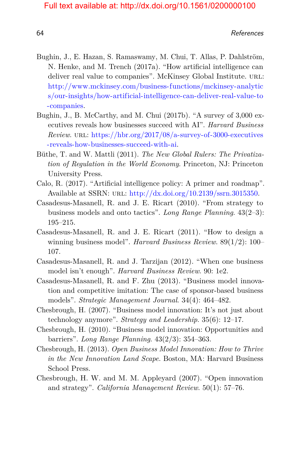- Bughin, J., E. Hazan, S. Ramaswamy, M. Chui, T. Allas, P. Dahlström, N. Henke, and M. Trench (2017a). "How artificial intelligence can deliver real value to companies". McKinsey Global Institute. URL: [http://www.mckinsey.com/business-functions/mckinsey-analytic](http://www.mckinsey.com/business-functions/mckinsey-analytics/our-insights/how-artificial-intelligence-can-deliver-real-value-to-companies) [s/our-insights/how-artificial-intelligence-can-deliver-real-value-to](http://www.mckinsey.com/business-functions/mckinsey-analytics/our-insights/how-artificial-intelligence-can-deliver-real-value-to-companies) [-companies.](http://www.mckinsey.com/business-functions/mckinsey-analytics/our-insights/how-artificial-intelligence-can-deliver-real-value-to-companies)
- Bughin, J., B. McCarthy, and M. Chui (2017b). "A survey of 3,000 executives reveals how businesses succeed with AI". *Harvard Business Review*. url: [https://hbr.org/2017/08/a-survey-of-3000-executives](https://hbr.org/2017/08/a-survey-of-3000-executives-reveals-how-businesses-succeed-with-ai) [-reveals-how-businesses-succeed-with-ai.](https://hbr.org/2017/08/a-survey-of-3000-executives-reveals-how-businesses-succeed-with-ai)
- Büthe, T. and W. Mattli (2011). *The New Global Rulers: The Privatization of Regulation in the World Economy*. Princeton, NJ: Princeton University Press.
- <span id="page-18-0"></span>Calo, R. (2017). "Artificial intelligence policy: A primer and roadmap". Available at SSRN:  $URL: http://dx.doi.org/10.2139/ssrn.3015350$ .
- Casadesus-Masanell, R. and J. E. Ricart (2010). "From strategy to business models and onto tactics". *Long Range Planning*. 43(2–3): 195–215.
- Casadesus-Masanell, R. and J. E. Ricart (2011). "How to design a winning business model". *Harvard Business Review*. 89(1/2): 100– 107.
- Casadesus-Masanell, R. and J. Tarzijan (2012). "When one business model isn't enough". *Harvard Business Review*. 90: 1e2.
- Casadesus-Masanell, R. and F. Zhu (2013). "Business model innovation and competitive imitation: The case of sponsor-based business models". *Strategic Management Journal*. 34(4): 464–482.
- <span id="page-18-1"></span>Chesbrough, H. (2007). "Business model innovation: It's not just about technology anymore". *Strategy and Leadership*. 35(6): 12–17.
- <span id="page-18-2"></span>Chesbrough, H. (2010). "Business model innovation: Opportunities and barriers". *Long Range Planning*. 43(2/3): 354–363.
- <span id="page-18-3"></span>Chesbrough, H. (2013). *Open Business Model Innovation: How to Thrive in the New Innovation Land Scape*. Boston, MA: Harvard Business School Press.
- Chesbrough, H. W. and M. M. Appleyard (2007). "Open innovation and strategy". *California Management Review*. 50(1): 57–76.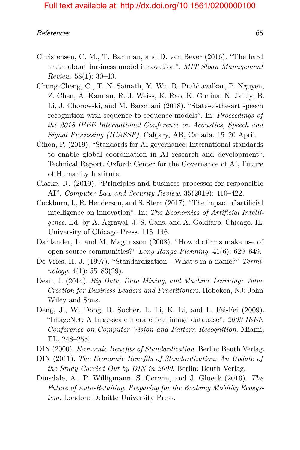- Christensen, C. M., T. Bartman, and D. van Bever (2016). "The hard truth about business model innovation". *MIT Sloan Management Review*. 58(1): 30–40.
- Chung-Cheng, C., T. N. Sainath, Y. Wu, R. Prabhavalkar, P. Nguyen, Z. Chen, A. Kannan, R. J. Weiss, K. Rao, K. Gonina, N. Jaitly, B. Li, J. Chorowski, and M. Bacchiani (2018). "State-of-the-art speech recognition with sequence-to-sequence models". In: *Proceedings of the 2018 IEEE International Conference on Acoustics, Speech and Signal Processing (ICASSP)*. Calgary, AB, Canada. 15–20 April.
- Cihon, P. (2019). "Standards for AI governance: International standards to enable global coordination in AI research and development". Technical Report. Oxford: Center for the Governance of AI, Future of Humanity Institute.
- Clarke, R. (2019). "Principles and business processes for responsible AI". *Computer Law and Security Review*. 35(2019): 410–422.
- Cockburn, I., R. Henderson, and S. Stern (2017). "The impact of artificial intelligence on innovation". In: *The Economics of Artificial Intelligence*. Ed. by A. Agrawal, J. S. Gans, and A. Goldfarb. Chicago, IL: University of Chicago Press. 115–146.
- Dahlander, L. and M. Magnusson (2008). "How do firms make use of open source communities?" *Long Range Planning*. 41(6): 629–649.
- De Vries, H. J. (1997). "Standardization—What's in a name?" *Terminology*. 4(1): 55–83(29).
- Dean, J. (2014). *Big Data, Data Mining, and Machine Learning: Value Creation for Business Leaders and Practitioners*. Hoboken, NJ: John Wiley and Sons.
- Deng, J., W. Dong, R. Socher, L. Li, K. Li, and L. Fei-Fei (2009). "ImageNet: A large-scale hierarchical image database". *2009 IEEE Conference on Computer Vision and Pattern Recognition*. Miami, FL. 248–255.
- DIN (2000). *Economic Benefits of Standardization*. Berlin: Beuth Verlag.
- DIN (2011). *The Economic Benefits of Standardization: An Update of the Study Carried Out by DIN in 2000*. Berlin: Beuth Verlag.
- Dinsdale, A., P. Willigmann, S. Corwin, and J. Glueck (2016). *The Future of Auto-Retailing. Preparing for the Evolving Mobility Ecosystem*. London: Deloitte University Press.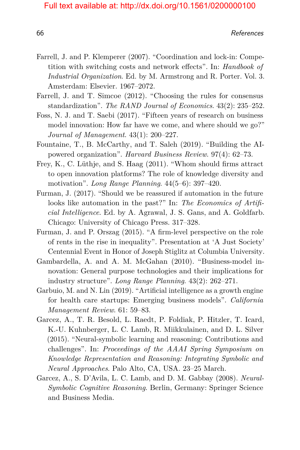- Farrell, J. and P. Klemperer (2007). "Coordination and lock-in: Competition with switching costs and network effects". In: *Handbook of Industrial Organization*. Ed. by M. Armstrong and R. Porter. Vol. 3. Amsterdam: Elsevier. 1967–2072.
- Farrell, J. and T. Simcoe (2012). "Choosing the rules for consensus standardization". *The RAND Journal of Economics*. 43(2): 235–252.
- <span id="page-20-0"></span>Foss, N. J. and T. Saebi (2017). "Fifteen years of research on business model innovation: How far have we come, and where should we go?" *Journal of Management*. 43(1): 200–227.
- Fountaine, T., B. McCarthy, and T. Saleh (2019). "Building the AIpowered organization". *Harvard Business Review*. 97(4): 62–73.
- Frey, K., C. Lüthje, and S. Haag (2011). "Whom should firms attract to open innovation platforms? The role of knowledge diversity and motivation". *Long Range Planning*. 44(5–6): 397–420.
- Furman, J. (2017). "Should we be reassured if automation in the future looks like automation in the past?" In: *The Economics of Artificial Intelligence*. Ed. by A. Agrawal, J. S. Gans, and A. Goldfarb. Chicago: University of Chicago Press. 317–328.
- Furman, J. and P. Orszag (2015). "A firm-level perspective on the role of rents in the rise in inequality". Presentation at 'A Just Society' Centennial Event in Honor of Joseph Stiglitz at Columbia University.
- Gambardella, A. and A. M. McGahan (2010). "Business-model innovation: General purpose technologies and their implications for industry structure". *Long Range Planning*. 43(2): 262–271.
- Garbuio, M. and N. Lin (2019). "Artificial intelligence as a growth engine for health care startups: Emerging business models". *California Management Review*. 61: 59–83.
- Garcez, A., T. R. Besold, L. Raedt, P. Foldiak, P. Hitzler, T. Icard, K.-U. Kuhnberger, L. C. Lamb, R. Miikkulainen, and D. L. Silver (2015). "Neural-symbolic learning and reasoning: Contributions and challenges". In: *Proceedings of the AAAI Spring Symposium on Knowledge Representation and Reasoning: Integrating Symbolic and Neural Approaches*. Palo Alto, CA, USA. 23–25 March.
- Garcez, A., S. D'Avila, L. C. Lamb, and D. M. Gabbay (2008). *Neural-Symbolic Cognitive Reasoning*. Berlin, Germany: Springer Science and Business Media.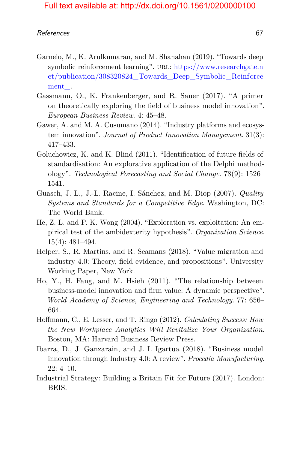- Garnelo, M., K. Arulkumaran, and M. Shanahan (2019). "Towards deep symbolic reinforcement learning". URL: [https://www.researchgate.n](https://www.researchgate.net/publication/308320824_Towards_Deep_Symbolic_Reinforcement_) [et/publication/308320824\\_Towards\\_Deep\\_Symbolic\\_Reinforce](https://www.researchgate.net/publication/308320824_Towards_Deep_Symbolic_Reinforcement_) [ment\\_.](https://www.researchgate.net/publication/308320824_Towards_Deep_Symbolic_Reinforcement_)
- Gassmann, O., K. Frankenberger, and R. Sauer (2017). "A primer on theoretically exploring the field of business model innovation". *European Business Review*. 4: 45–48.
- Gawer, A. and M. A. Cusumano (2014). "Industry platforms and ecosystem innovation". *Journal of Product Innovation Management*. 31(3): 417–433.
- Goluchowicz, K. and K. Blind (2011). "Identification of future fields of standardisation: An explorative application of the Delphi methodology". *Technological Forecasting and Social Change*. 78(9): 1526– 1541.
- Guasch, J. L., J.-L. Racine, I. Sánchez, and M. Diop (2007). *Quality Systems and Standards for a Competitive Edge*. Washington, DC: The World Bank.
- He, Z. L. and P. K. Wong (2004). "Exploration vs. exploitation: An empirical test of the ambidexterity hypothesis". *Organization Science*. 15(4): 481–494.
- <span id="page-21-0"></span>Helper, S., R. Martins, and R. Seamans (2018). "Value migration and industry 4.0: Theory, field evidence, and propositions". University Working Paper, New York.
- Ho, Y., H. Fang, and M. Hsieh (2011). "The relationship between business-model innovation and firm value: A dynamic perspective". *World Academy of Science, Engineering and Technology*. 77: 656– 664.
- Hoffmann, C., E. Lesser, and T. Ringo (2012). *Calculating Success: How the New Workplace Analytics Will Revitalize Your Organization*. Boston, MA: Harvard Business Review Press.
- Ibarra, D., J. Ganzarain, and J. I. Igartua (2018). "Business model innovation through Industry 4.0: A review". *Procedia Manufacturing*. 22: 4–10.
- <span id="page-21-1"></span>Industrial Strategy: Building a Britain Fit for Future (2017). London: BEIS.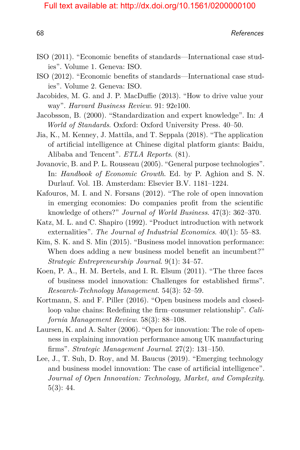- ISO (2011). "Economic benefits of standards—International case studies". Volume 1. Geneva: ISO.
- ISO (2012). "Economic benefits of standards—International case studies". Volume 2. Geneva: ISO.
- Jacobides, M. G. and J. P. MacDuffie (2013). "How to drive value your way". *Harvard Business Review*. 91: 92e100.
- Jacobsson, B. (2000). "Standardization and expert knowledge". In: *A World of Standards*. Oxford: Oxford University Press. 40–50.
- Jia, K., M. Kenney, J. Mattila, and T. Seppala (2018). "The application of artificial intelligence at Chinese digital platform giants: Baidu, Alibaba and Tencent". *ETLA Reports*. (81).
- Jovanovic, B. and P. L. Rousseau (2005). "General purpose technologies". In: *Handbook of Economic Growth*. Ed. by P. Aghion and S. N. Durlauf. Vol. 1B. Amsterdam: Elsevier B.V. 1181–1224.
- Kafouros, M. I. and N. Forsans (2012). "The role of open innovation in emerging economies: Do companies profit from the scientific knowledge of others?" *Journal of World Business*. 47(3): 362–370.
- Katz, M. L. and C. Shapiro (1992). "Product introduction with network externalities". *The Journal of Industrial Economics*. 40(1): 55–83.
- Kim, S. K. and S. Min (2015). "Business model innovation performance: When does adding a new business model benefit an incumbent?" *Strategic Entrepreneurship Journal*. 9(1): 34–57.
- Koen, P. A., H. M. Bertels, and I. R. Elsum (2011). "The three faces of business model innovation: Challenges for established firms". *Research-Technology Management*. 54(3): 52–59.
- Kortmann, S. and F. Piller (2016). "Open business models and closedloop value chains: Redefining the firm–consumer relationship". *California Management Review*. 58(3): 88–108.
- Laursen, K. and A. Salter (2006). "Open for innovation: The role of openness in explaining innovation performance among UK manufacturing firms". *Strategic Management Journal*. 27(2): 131–150.
- Lee, J., T. Suh, D. Roy, and M. Baucus (2019). "Emerging technology and business model innovation: The case of artificial intelligence". *Journal of Open Innovation: Technology, Market, and Complexity*. 5(3): 44.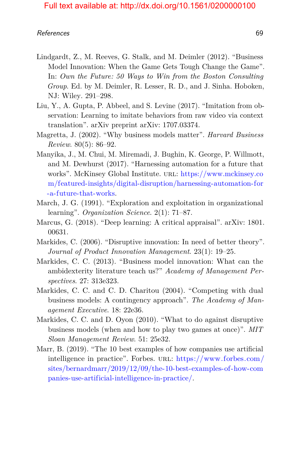- <span id="page-23-0"></span>Lindgardt, Z., M. Reeves, G. Stalk, and M. Deimler (2012). "Business Model Innovation: When the Game Gets Tough Change the Game". In: *Own the Future: 50 Ways to Win from the Boston Consulting Group*. Ed. by M. Deimler, R. Lesser, R. D., and J. Sinha. Hoboken, NJ: Wiley. 291–298.
- Liu, Y., A. Gupta, P. Abbeel, and S. Levine (2017). "Imitation from observation: Learning to imitate behaviors from raw video via context translation". arXiv preprint arXiv: 1707.03374.
- Magretta, J. (2002). "Why business models matter". *Harvard Business Review*. 80(5): 86–92.
- Manyika, J., M. Chui, M. Miremadi, J. Bughin, K. George, P. Willmott, and M. Dewhurst (2017). "Harnessing automation for a future that works". McKinsey Global Institute. url: [https://www.mckinsey.co](https://www.mckinsey.com/featured-insights/digital-disruption/harnessing-automation-for-a-future-that-works) [m/featured-insights/digital-disruption/harnessing-automation-for](https://www.mckinsey.com/featured-insights/digital-disruption/harnessing-automation-for-a-future-that-works) [-a-future-that-works.](https://www.mckinsey.com/featured-insights/digital-disruption/harnessing-automation-for-a-future-that-works)
- March, J. G. (1991). "Exploration and exploitation in organizational learning". *Organization Science*. 2(1): 71–87.
- Marcus, G. (2018). "Deep learning: A critical appraisal". arXiv: 1801. 00631.
- Markides, C. (2006). "Disruptive innovation: In need of better theory". *Journal of Product Innovation Management*. 23(1): 19–25.
- Markides, C. C. (2013). "Business model innovation: What can the ambidexterity literature teach us?" *Academy of Management Perspectives*. 27: 313e323.
- Markides, C. C. and C. D. Charitou (2004). "Competing with dual business models: A contingency approach". *The Academy of Management Executive*. 18: 22e36.
- Markides, C. C. and D. Oyon (2010). "What to do against disruptive business models (when and how to play two games at once)". *MIT Sloan Management Review*. 51: 25e32.
- Marr, B. (2019). "The 10 best examples of how companies use artificial intelligence in practice". Forbes. url: [https://www.forbes.com/](https://www.forbes.com/sites/bernardmarr/2019/12/09/the-10-best-examples-of-how-companies-use-artificial-intelligence-in-practice/) [sites/bernardmarr/2019/12/09/the-10-best-examples-of-how-com](https://www.forbes.com/sites/bernardmarr/2019/12/09/the-10-best-examples-of-how-companies-use-artificial-intelligence-in-practice/) [panies-use-artificial-intelligence-in-practice/.](https://www.forbes.com/sites/bernardmarr/2019/12/09/the-10-best-examples-of-how-companies-use-artificial-intelligence-in-practice/)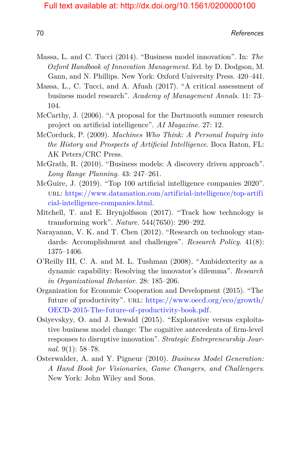- Massa, L. and C. Tucci (2014). "Business model innovation". In: *The Oxford Handbook of Innovation Management*. Ed. by D. Dodgson, M. Gann, and N. Phillips. New York: Oxford University Press. 420–441.
- Massa, L., C. Tucci, and A. Afuah (2017). "A critical assessment of business model research". *Academy of Management Annals*. 11: 73– 104.
- McCarthy, J. (2006). "A proposal for the Dartmouth summer research project on artificial intelligence". *AI Magazine*. 27: 12.
- McCorduck, P. (2009). *Machines Who Think: A Personal Inquiry into the History and Prospects of Artificial Intelligence*. Boca Raton, FL: AK Peters/CRC Press.
- McGrath, R. (2010). "Business models: A discovery driven approach". *Long Range Planning*. 43: 247–261.
- McGuire, J. (2019). "Top 100 artificial intelligence companies 2020". url: [https://www.datamation.com/artificial-intelligence/top-artifi](https://www.datamation.com/artificial-intelligence/top-artificial-intelligence-companies.html) [cial-intelligence-companies.html.](https://www.datamation.com/artificial-intelligence/top-artificial-intelligence-companies.html)
- Mitchell, T. and E. Brynjolfsson (2017). "Track how technology is transforming work". *Nature*. 544(7650): 290–292.
- Narayanan, V. K. and T. Chen (2012). "Research on technology standards: Accomplishment and challenges". *Research Policy*. 41(8): 1375–1406.
- O'Reilly III, C. A. and M. L. Tushman (2008). "Ambidexterity as a dynamic capability: Resolving the innovator's dilemma". *Research in Organizational Behavior*. 28: 185–206.
- <span id="page-24-0"></span>Organization for Economic Cooperation and Development (2015). "The future of productivity". URL: [https://www.oecd.org/eco/growth/](https://www.oecd.org/eco/growth/OECD-2015-The-future-of-productivity-book.pdf) [OECD-2015-The-future-of-productivity-book.pdf.](https://www.oecd.org/eco/growth/OECD-2015-The-future-of-productivity-book.pdf)
- Osiyevskyy, O. and J. Dewald (2015). "Explorative versus exploitative business model change: The cognitive antecedents of firm-level responses to disruptive innovation". *Strategic Entrepreneurship Journal*. 9(1): 58–78.
- Osterwalder, A. and Y. Pigneur (2010). *Business Model Generation: A Hand Book for Visionaries, Game Changers, and Challengers*. New York: John Wiley and Sons.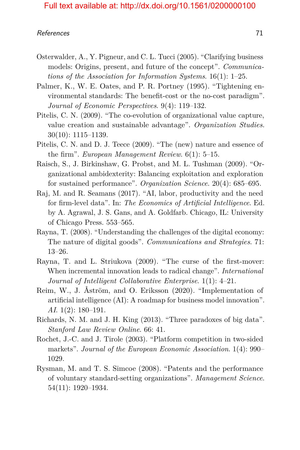- Osterwalder, A., Y. Pigneur, and C. L. Tucci (2005). "Clarifying business models: Origins, present, and future of the concept". *Communications of the Association for Information Systems*. 16(1): 1–25.
- Palmer, K., W. E. Oates, and P. R. Portney (1995). "Tightening environmental standards: The benefit-cost or the no-cost paradigm". *Journal of Economic Perspectives*. 9(4): 119–132.
- Pitelis, C. N. (2009). "The co-evolution of organizational value capture, value creation and sustainable advantage". *Organization Studies*. 30(10): 1115–1139.
- Pitelis, C. N. and D. J. Teece (2009). "The (new) nature and essence of the firm". *European Management Review*. 6(1): 5–15.
- Raisch, S., J. Birkinshaw, G. Probst, and M. L. Tushman (2009). "Organizational ambidexterity: Balancing exploitation and exploration for sustained performance". *Organization Science*. 20(4): 685–695.
- <span id="page-25-0"></span>Raj, M. and R. Seamans (2017). "AI, labor, productivity and the need for firm-level data". In: *The Economics of Artificial Intelligence*. Ed. by A. Agrawal, J. S. Gans, and A. Goldfarb. Chicago, IL: University of Chicago Press. 553–565.
- Rayna, T. (2008). "Understanding the challenges of the digital economy: The nature of digital goods". *Communications and Strategies*. 71: 13–26.
- Rayna, T. and L. Striukova (2009). "The curse of the first-mover: When incremental innovation leads to radical change". *International Journal of Intelligent Collaborative Enterprise*. 1(1): 4–21.
- Reim, W., J. Åström, and O. Eriksson (2020). "Implementation of artificial intelligence (AI): A roadmap for business model innovation". *AI*. 1(2): 180–191.
- Richards, N. M. and J. H. King (2013). "Three paradoxes of big data". *Stanford Law Review Online*. 66: 41.
- Rochet, J.-C. and J. Tirole (2003). "Platform competition in two-sided markets". *Journal of the European Economic Association*. 1(4): 990– 1029.
- Rysman, M. and T. S. Simcoe (2008). "Patents and the performance of voluntary standard-setting organizations". *Management Science*. 54(11): 1920–1934.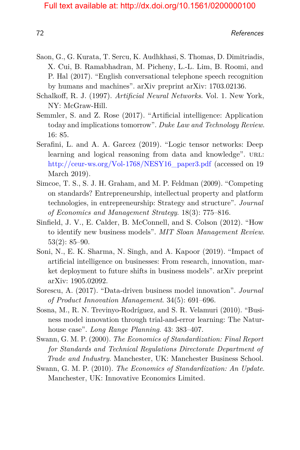- Saon, G., G. Kurata, T. Sercu, K. Audhkhasi, S. Thomas, D. Dimitriadis, X. Cui, B. Ramabhadran, M. Picheny, L.-L. Lim, B. Roomi, and P. Hal (2017). "English conversational telephone speech recognition by humans and machines". arXiv preprint arXiv: 1703.02136.
- Schalkoff, R. J. (1997). *Artificial Neural Networks*. Vol. 1. New York, NY: McGraw-Hill.
- <span id="page-26-0"></span>Semmler, S. and Z. Rose (2017). "Artificial intelligence: Application today and implications tomorrow". *Duke Law and Technology Review*. 16: 85.
- Serafini, L. and A. A. Garcez (2019). "Logic tensor networks: Deep learning and logical reasoning from data and knowledge". URL: [http://ceur-ws.org/Vol-1768/NESY16\\_paper3.pdf](http://ceur-ws.org/Vol-1768/NESY16_paper3.pdf) (accessed on 19 March 2019).
- Simcoe, T. S., S. J. H. Graham, and M. P. Feldman (2009). "Competing on standards? Entrepreneurship, intellectual property and platform technologies, in entrepreneurship: Strategy and structure". *Journal of Economics and Management Strategy*. 18(3): 775–816.
- Sinfield, J. V., E. Calder, B. McConnell, and S. Colson (2012). "How to identify new business models". *MIT Sloan Management Review*. 53(2): 85–90.
- Soni, N., E. K. Sharma, N. Singh, and A. Kapoor (2019). "Impact of artificial intelligence on businesses: From research, innovation, market deployment to future shifts in business models". arXiv preprint arXiv: 1905.02092.
- Sorescu, A. (2017). "Data-driven business model innovation". *Journal of Product Innovation Management*. 34(5): 691–696.
- Sosna, M., R. N. Trevinyo-Rodríguez, and S. R. Velamuri (2010). "Business model innovation through trial-and-error learning: The Naturhouse case". *Long Range Planning*. 43: 383–407.
- Swann, G. M. P. (2000). *The Economics of Standardization: Final Report for Standards and Technical Regulations Directorate Department of Trade and Industry*. Manchester, UK: Manchester Business School.
- Swann, G. M. P. (2010). *The Economics of Standardization: An Update*. Manchester, UK: Innovative Economics Limited.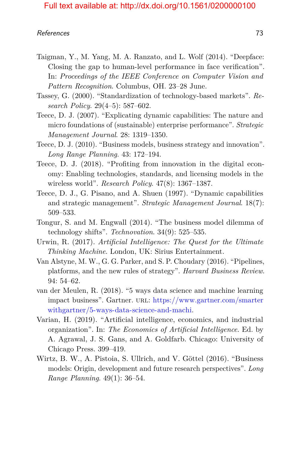- Taigman, Y., M. Yang, M. A. Ranzato, and L. Wolf (2014). "Deepface: Closing the gap to human-level performance in face verification". In: *Proceedings of the IEEE Conference on Computer Vision and Pattern Recognition*. Columbus, OH. 23–28 June.
- Tassey, G. (2000). "Standardization of technology-based markets". *Research Policy*. 29(4–5): 587–602.
- Teece, D. J. (2007). "Explicating dynamic capabilities: The nature and micro foundations of (sustainable) enterprise performance". *Strategic Management Journal*. 28: 1319–1350.
- <span id="page-27-2"></span>Teece, D. J. (2010). "Business models, business strategy and innovation". *Long Range Planning*. 43: 172–194.
- Teece, D. J. (2018). "Profiting from innovation in the digital economy: Enabling technologies, standards, and licensing models in the wireless world". *Research Policy*. 47(8): 1367–1387.
- Teece, D. J., G. Pisano, and A. Shuen (1997). "Dynamic capabilities and strategic management". *Strategic Management Journal*. 18(7): 509–533.
- <span id="page-27-3"></span>Tongur, S. and M. Engwall (2014). "The business model dilemma of technology shifts". *Technovation*. 34(9): 525–535.
- Urwin, R. (2017). *Artificial Intelligence: The Quest for the Ultimate Thinking Machine*. London, UK: Sirius Entertainment.
- Van Alstyne, M. W., G. G. Parker, and S. P. Choudary (2016). "Pipelines, platforms, and the new rules of strategy". *Harvard Business Review*. 94: 54–62.
- <span id="page-27-0"></span>van der Meulen, R. (2018). "5 ways data science and machine learning impact business". Gartner. url: [https://www.gartner.com/smarter](https://www.gartner.com/smarterwithgartner/5-ways-data-science-and-machi) [withgartner/5-ways-data-science-and-machi.](https://www.gartner.com/smarterwithgartner/5-ways-data-science-and-machi)
- <span id="page-27-1"></span>Varian, H. (2019). "Artificial intelligence, economics, and industrial organization". In: *The Economics of Artificial Intelligence*. Ed. by A. Agrawal, J. S. Gans, and A. Goldfarb. Chicago: University of Chicago Press. 399–419.
- Wirtz, B. W., A. Pistoia, S. Ullrich, and V. Göttel (2016). "Business models: Origin, development and future research perspectives". *Long Range Planning*. 49(1): 36–54.